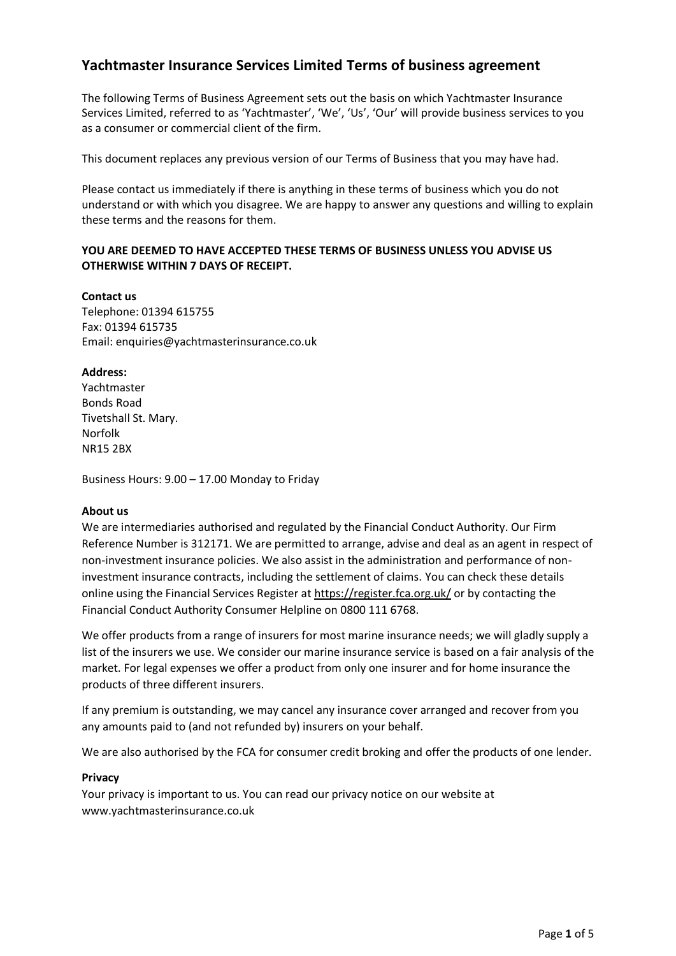# **Yachtmaster Insurance Services Limited Terms of business agreement**

The following Terms of Business Agreement sets out the basis on which Yachtmaster Insurance Services Limited, referred to as 'Yachtmaster', 'We', 'Us', 'Our' will provide business services to you as a consumer or commercial client of the firm.

This document replaces any previous version of our Terms of Business that you may have had.

Please contact us immediately if there is anything in these terms of business which you do not understand or with which you disagree. We are happy to answer any questions and willing to explain these terms and the reasons for them.

# **YOU ARE DEEMED TO HAVE ACCEPTED THESE TERMS OF BUSINESS UNLESS YOU ADVISE US OTHERWISE WITHIN 7 DAYS OF RECEIPT.**

**Contact us** Telephone: 01394 615755 Fax: 01394 615735 Email: enquiries@yachtmasterinsurance.co.uk

# **Address:**

Yachtmaster Bonds Road Tivetshall St. Mary. Norfolk NR15 2BX

Business Hours: 9.00 – 17.00 Monday to Friday

#### **About us**

We are intermediaries authorised and regulated by the Financial Conduct Authority. Our Firm Reference Number is 312171. We are permitted to arrange, advise and deal as an agent in respect of non-investment insurance policies. We also assist in the administration and performance of noninvestment insurance contracts, including the settlement of claims. You can check these details online using the Financial Services Register at<https://register.fca.org.uk/> or by contacting the Financial Conduct Authority Consumer Helpline on 0800 111 6768.

We offer products from a range of insurers for most marine insurance needs; we will gladly supply a list of the insurers we use. We consider our marine insurance service is based on a fair analysis of the market. For legal expenses we offer a product from only one insurer and for home insurance the products of three different insurers.

If any premium is outstanding, we may cancel any insurance cover arranged and recover from you any amounts paid to (and not refunded by) insurers on your behalf.

We are also authorised by the FCA for consumer credit broking and offer the products of one lender.

#### **Privacy**

Your privacy is important to us. You can read our privacy notice on our website at www.yachtmasterinsurance.co.uk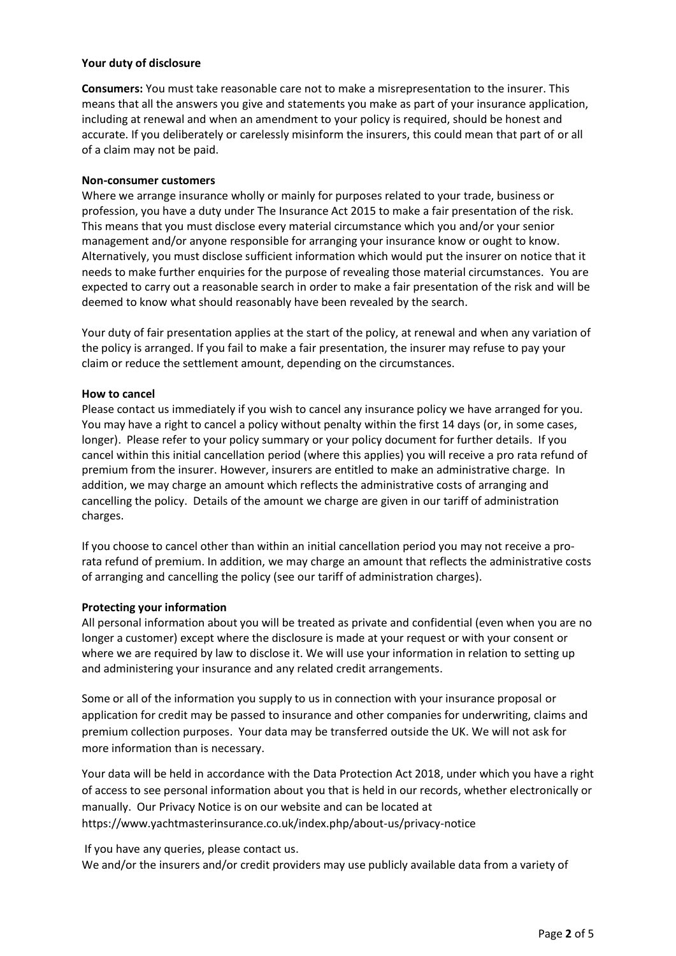#### **Your duty of disclosure**

**Consumers:** You must take reasonable care not to make a misrepresentation to the insurer. This means that all the answers you give and statements you make as part of your insurance application, including at renewal and when an amendment to your policy is required, should be honest and accurate. If you deliberately or carelessly misinform the insurers, this could mean that part of or all of a claim may not be paid.

#### **Non-consumer customers**

Where we arrange insurance wholly or mainly for purposes related to your trade, business or profession, you have a duty under The Insurance Act 2015 to make a fair presentation of the risk. This means that you must disclose every material circumstance which you and/or your senior management and/or anyone responsible for arranging your insurance know or ought to know. Alternatively, you must disclose sufficient information which would put the insurer on notice that it needs to make further enquiries for the purpose of revealing those material circumstances. You are expected to carry out a reasonable search in order to make a fair presentation of the risk and will be deemed to know what should reasonably have been revealed by the search.

Your duty of fair presentation applies at the start of the policy, at renewal and when any variation of the policy is arranged. If you fail to make a fair presentation, the insurer may refuse to pay your claim or reduce the settlement amount, depending on the circumstances.

#### **How to cancel**

Please contact us immediately if you wish to cancel any insurance policy we have arranged for you. You may have a right to cancel a policy without penalty within the first 14 days (or, in some cases, longer). Please refer to your policy summary or your policy document for further details. If you cancel within this initial cancellation period (where this applies) you will receive a pro rata refund of premium from the insurer. However, insurers are entitled to make an administrative charge. In addition, we may charge an amount which reflects the administrative costs of arranging and cancelling the policy. Details of the amount we charge are given in our tariff of administration charges.

If you choose to cancel other than within an initial cancellation period you may not receive a prorata refund of premium. In addition, we may charge an amount that reflects the administrative costs of arranging and cancelling the policy (see our tariff of administration charges).

#### **Protecting your information**

All personal information about you will be treated as private and confidential (even when you are no longer a customer) except where the disclosure is made at your request or with your consent or where we are required by law to disclose it. We will use your information in relation to setting up and administering your insurance and any related credit arrangements.

Some or all of the information you supply to us in connection with your insurance proposal or application for credit may be passed to insurance and other companies for underwriting, claims and premium collection purposes. Your data may be transferred outside the UK. We will not ask for more information than is necessary.

Your data will be held in accordance with the Data Protection Act 2018, under which you have a right of access to see personal information about you that is held in our records, whether electronically or manually. Our Privacy Notice is on our website and can be located at https://www.yachtmasterinsurance.co.uk/index.php/about-us/privacy-notice

If you have any queries, please contact us.

We and/or the insurers and/or credit providers may use publicly available data from a variety of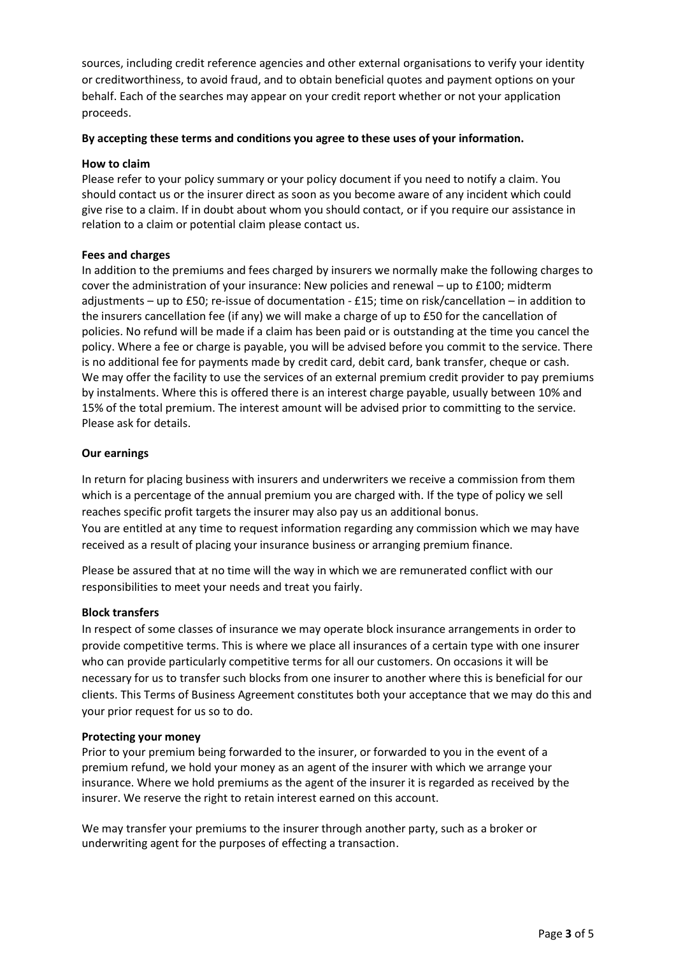sources, including credit reference agencies and other external organisations to verify your identity or creditworthiness, to avoid fraud, and to obtain beneficial quotes and payment options on your behalf. Each of the searches may appear on your credit report whether or not your application proceeds.

#### **By accepting these terms and conditions you agree to these uses of your information.**

#### **How to claim**

Please refer to your policy summary or your policy document if you need to notify a claim. You should contact us or the insurer direct as soon as you become aware of any incident which could give rise to a claim. If in doubt about whom you should contact, or if you require our assistance in relation to a claim or potential claim please contact us.

#### **Fees and charges**

In addition to the premiums and fees charged by insurers we normally make the following charges to cover the administration of your insurance: New policies and renewal – up to £100; midterm adjustments – up to £50; re-issue of documentation - £15; time on risk/cancellation – in addition to the insurers cancellation fee (if any) we will make a charge of up to £50 for the cancellation of policies. No refund will be made if a claim has been paid or is outstanding at the time you cancel the policy. Where a fee or charge is payable, you will be advised before you commit to the service. There is no additional fee for payments made by credit card, debit card, bank transfer, cheque or cash. We may offer the facility to use the services of an external premium credit provider to pay premiums by instalments. Where this is offered there is an interest charge payable, usually between 10% and 15% of the total premium. The interest amount will be advised prior to committing to the service. Please ask for details.

#### **Our earnings**

In return for placing business with insurers and underwriters we receive a commission from them which is a percentage of the annual premium you are charged with. If the type of policy we sell reaches specific profit targets the insurer may also pay us an additional bonus. You are entitled at any time to request information regarding any commission which we may have received as a result of placing your insurance business or arranging premium finance.

Please be assured that at no time will the way in which we are remunerated conflict with our responsibilities to meet your needs and treat you fairly.

#### **Block transfers**

In respect of some classes of insurance we may operate block insurance arrangements in order to provide competitive terms. This is where we place all insurances of a certain type with one insurer who can provide particularly competitive terms for all our customers. On occasions it will be necessary for us to transfer such blocks from one insurer to another where this is beneficial for our clients. This Terms of Business Agreement constitutes both your acceptance that we may do this and your prior request for us so to do.

#### **Protecting your money**

Prior to your premium being forwarded to the insurer, or forwarded to you in the event of a premium refund, we hold your money as an agent of the insurer with which we arrange your insurance. Where we hold premiums as the agent of the insurer it is regarded as received by the insurer. We reserve the right to retain interest earned on this account.

We may transfer your premiums to the insurer through another party, such as a broker or underwriting agent for the purposes of effecting a transaction.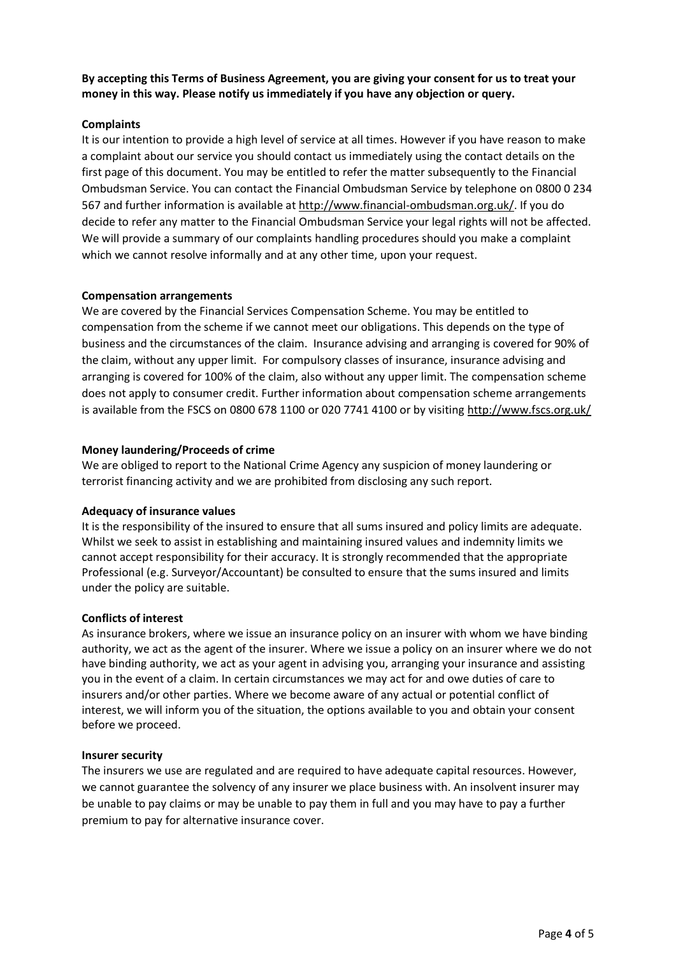# **By accepting this Terms of Business Agreement, you are giving your consent for us to treat your money in this way. Please notify us immediately if you have any objection or query.**

# **Complaints**

It is our intention to provide a high level of service at all times. However if you have reason to make a complaint about our service you should contact us immediately using the contact details on the first page of this document. You may be entitled to refer the matter subsequently to the Financial Ombudsman Service. You can contact the Financial Ombudsman Service by telephone on 0800 0 234 567 and further information is available at [http://www.financial-ombudsman.org.uk/.](http://www.financial-ombudsman.org.uk/) If you do decide to refer any matter to the Financial Ombudsman Service your legal rights will not be affected. We will provide a summary of our complaints handling procedures should you make a complaint which we cannot resolve informally and at any other time, upon your request.

# **Compensation arrangements**

We are covered by the Financial Services Compensation Scheme. You may be entitled to compensation from the scheme if we cannot meet our obligations. This depends on the type of business and the circumstances of the claim. Insurance advising and arranging is covered for 90% of the claim, without any upper limit. For compulsory classes of insurance, insurance advising and arranging is covered for 100% of the claim, also without any upper limit. The compensation scheme does not apply to consumer credit. Further information about compensation scheme arrangements is available from the FSCS on 0800 678 1100 or 020 7741 4100 or by visitin[g http://www.fscs.org.uk/](http://www.fscs.org.uk/)

# **Money laundering/Proceeds of crime**

We are obliged to report to the National Crime Agency any suspicion of money laundering or terrorist financing activity and we are prohibited from disclosing any such report.

#### **Adequacy of insurance values**

It is the responsibility of the insured to ensure that all sums insured and policy limits are adequate. Whilst we seek to assist in establishing and maintaining insured values and indemnity limits we cannot accept responsibility for their accuracy. It is strongly recommended that the appropriate Professional (e.g. Surveyor/Accountant) be consulted to ensure that the sums insured and limits under the policy are suitable.

#### **Conflicts of interest**

As insurance brokers, where we issue an insurance policy on an insurer with whom we have binding authority, we act as the agent of the insurer. Where we issue a policy on an insurer where we do not have binding authority, we act as your agent in advising you, arranging your insurance and assisting you in the event of a claim. In certain circumstances we may act for and owe duties of care to insurers and/or other parties. Where we become aware of any actual or potential conflict of interest, we will inform you of the situation, the options available to you and obtain your consent before we proceed.

#### **Insurer security**

The insurers we use are regulated and are required to have adequate capital resources. However, we cannot guarantee the solvency of any insurer we place business with. An insolvent insurer may be unable to pay claims or may be unable to pay them in full and you may have to pay a further premium to pay for alternative insurance cover.